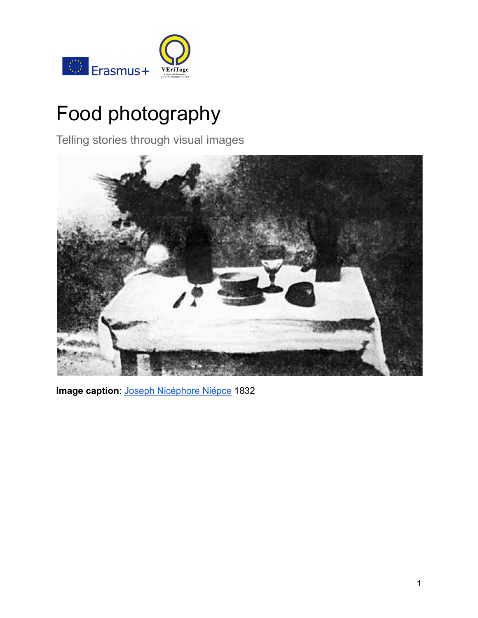

# Food photography

Telling stories through visual images



**Image caption**: [Joseph Nicéphore Niépce](http://iphf.org/inductees/joseph-nicephore-niepce/) 1832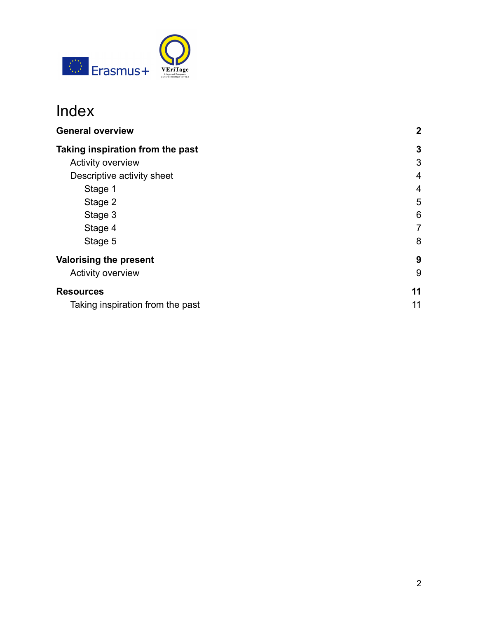

## Index

| <b>General overview</b>          | $\mathbf{2}$   |
|----------------------------------|----------------|
| Taking inspiration from the past | 3              |
| <b>Activity overview</b>         | 3              |
| Descriptive activity sheet       | $\overline{4}$ |
| Stage 1                          | $\overline{4}$ |
| Stage 2                          | 5              |
| Stage 3                          | 6              |
| Stage 4                          | 7              |
| Stage 5                          | 8              |
| <b>Valorising the present</b>    | 9              |
| Activity overview                | 9              |
| <b>Resources</b>                 | 11             |
| Taking inspiration from the past | 11             |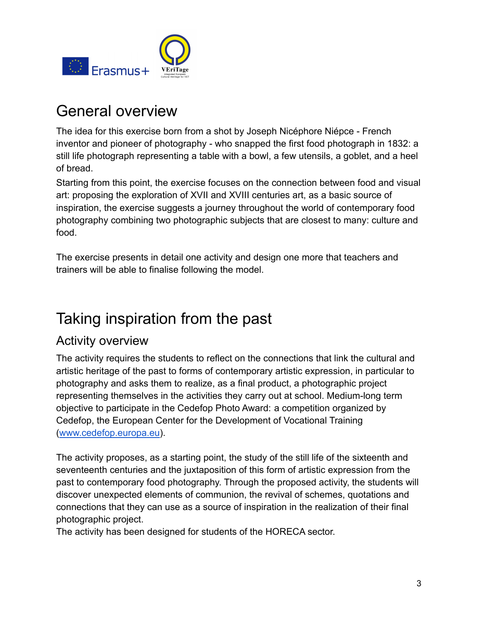

## General overview

The idea for this exercise born from a shot by Joseph Nicéphore Niépce - French inventor and pioneer of photography - who snapped the first food photograph in 1832: a still life photograph representing a table with a bowl, a few utensils, a goblet, and a heel of bread.

Starting from this point, the exercise focuses on the connection between food and visual art: proposing the exploration of XVII and XVIII centuries art, as a basic source of inspiration, the exercise suggests a journey throughout the world of contemporary food photography combining two photographic subjects that are closest to many: culture and food.

The exercise presents in detail one activity and design one more that teachers and trainers will be able to finalise following the model.

## <span id="page-2-0"></span>Taking inspiration from the past

### <span id="page-2-1"></span>Activity overview

The activity requires the students to reflect on the connections that link the cultural and artistic heritage of the past to forms of contemporary artistic expression, in particular to photography and asks them to realize, as a final product, a photographic project representing themselves in the activities they carry out at school. Medium-long term objective to participate in the Cedefop Photo Award: a competition organized by Cedefop, the European Center for the Development of Vocational Training ([www.cedefop.europa.eu\)](http://www.cedefop.europa.eu).

The activity proposes, as a starting point, the study of the still life of the sixteenth and seventeenth centuries and the juxtaposition of this form of artistic expression from the past to contemporary food photography. Through the proposed activity, the students will discover unexpected elements of communion, the revival of schemes, quotations and connections that they can use as a source of inspiration in the realization of their final photographic project.

The activity has been designed for students of the HORECA sector.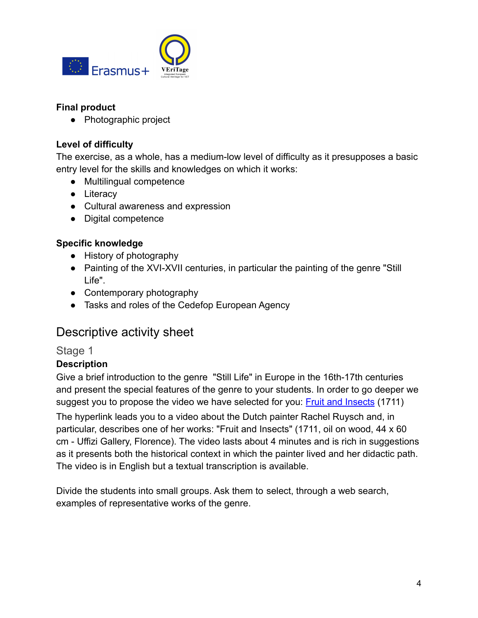

#### **Final product**

● Photographic project

#### **Level of difficulty**

The exercise, as a whole, has a medium-low level of difficulty as it presupposes a basic entry level for the skills and knowledges on which it works:

- Multilingual competence
- Literacy
- Cultural awareness and expression
- Digital competence

#### **Specific knowledge**

- History of photography
- Painting of the XVI-XVII centuries, in particular the painting of the genre "Still Life".
- Contemporary photography
- Tasks and roles of the Cedefop European Agency

### <span id="page-3-0"></span>Descriptive activity sheet

#### <span id="page-3-1"></span>Stage 1

#### **Description**

Give a brief introduction to the genre "Still Life" in Europe in the 16th-17th centuries and present the special features of the genre to your students. In order to go deeper we suggest you to propose the video we have selected for you: **[Fruit and Insects](https://www.khanacademy.org/humanities/ap-art-history/early-europe-and-colonial-americas/reformation-counter-reformation/v/ruysch-flowers-insects)** (1711)

The hyperlink leads you to a video about the Dutch painter Rachel Ruysch and, in particular, describes one of her works: "Fruit and Insects" (1711, oil on wood, 44 x 60 cm - Uffizi Gallery, Florence). The video lasts about 4 minutes and is rich in suggestions as it presents both the historical context in which the painter lived and her didactic path. The video is in English but a textual transcription is available.

Divide the students into small groups. Ask them to select, through a web search, examples of representative works of the genre.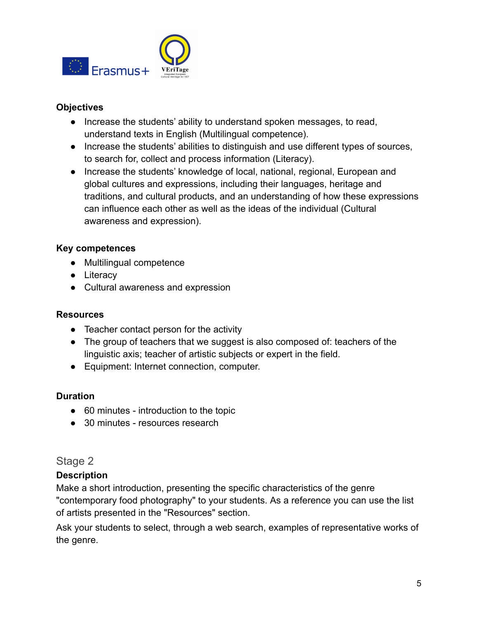

- Increase the students' ability to understand spoken messages, to read, understand texts in English (Multilingual competence).
- Increase the students' abilities to distinguish and use different types of sources, to search for, collect and process information (Literacy).
- Increase the students' knowledge of local, national, regional, European and global cultures and expressions, including their languages, heritage and traditions, and cultural products, and an understanding of how these expressions can influence each other as well as the ideas of the individual (Cultural awareness and expression).

#### **Key competences**

- Multilingual competence
- Literacy
- Cultural awareness and expression

#### **Resources**

- Teacher contact person for the activity
- The group of teachers that we suggest is also composed of: teachers of the linguistic axis; teacher of artistic subjects or expert in the field.
- Equipment: Internet connection, computer.

#### **Duration**

- 60 minutes introduction to the topic
- 30 minutes resources research

### <span id="page-4-0"></span>Stage 2

#### **Description**

Make a short introduction, presenting the specific characteristics of the genre "contemporary food photography" to your students. As a reference you can use the list of artists presented in the "Resources" section.

Ask your students to select, through a web search, examples of representative works of the genre.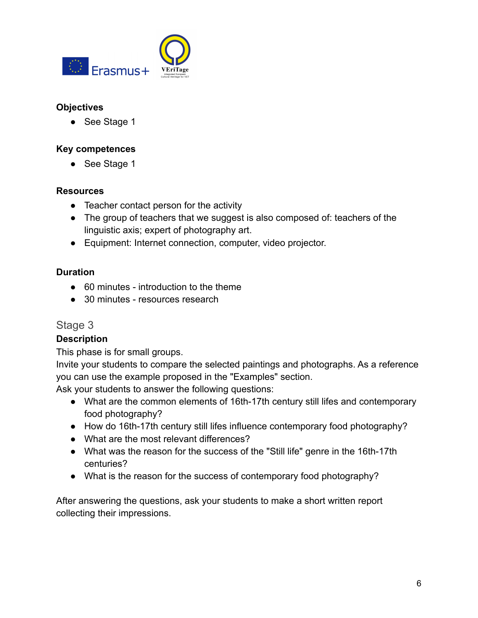

● See Stage 1

#### **Key competences**

● See Stage 1

#### **Resources**

- Teacher contact person for the activity
- The group of teachers that we suggest is also composed of: teachers of the linguistic axis; expert of photography art.
- Equipment: Internet connection, computer, video projector.

#### **Duration**

- 60 minutes introduction to the theme
- 30 minutes resources research

#### <span id="page-5-0"></span>Stage 3

#### **Description**

This phase is for small groups.

Invite your students to compare the selected paintings and photographs. As a reference you can use the example proposed in the "Examples" section.

Ask your students to answer the following questions:

- What are the common elements of 16th-17th century still lifes and contemporary food photography?
- How do 16th-17th century still lifes influence contemporary food photography?
- What are the most relevant differences?
- What was the reason for the success of the "Still life" genre in the 16th-17th centuries?
- What is the reason for the success of contemporary food photography?

After answering the questions, ask your students to make a short written report collecting their impressions.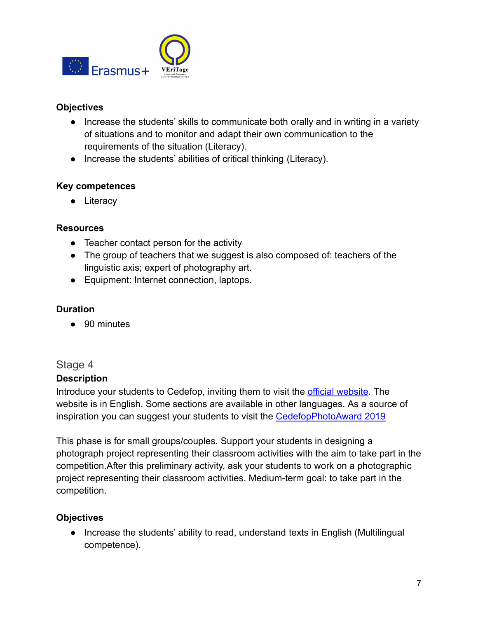

- Increase the students' skills to communicate both orally and in writing in a variety of situations and to monitor and adapt their own communication to the requirements of the situation (Literacy).
- Increase the students' abilities of critical thinking (Literacy).

#### **Key competences**

● Literacy

#### **Resources**

- Teacher contact person for the activity
- The group of teachers that we suggest is also composed of: teachers of the linguistic axis; expert of photography art.
- Equipment: Internet connection, laptops.

#### **Duration**

● 90 minutes

#### <span id="page-6-0"></span>Stage 4

#### **Description**

Introduce your students to Cedefop, inviting them to visit the [official website.](https://www.cedefop.europa.eu/en) The website is in English. Some sections are available in other languages. As a source of inspiration you can suggest your students to visit the [CedefopPhotoAward 2019](https://www.cedefop.europa.eu/en/publications-and-resources/photo-galleries/cedefopphotoaward-2019-winners)

This phase is for small groups/couples. Support your students in designing a photograph project representing their classroom activities with the aim to take part in the competition.After this preliminary activity, ask your students to work on a photographic project representing their classroom activities. Medium-term goal: to take part in the competition.

#### **Objectives**

● Increase the students' ability to read, understand texts in English (Multilingual competence).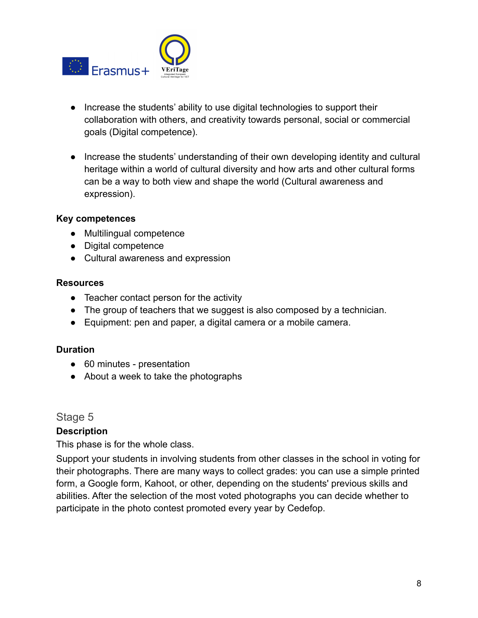

- Increase the students' ability to use digital technologies to support their collaboration with others, and creativity towards personal, social or commercial goals (Digital competence).
- Increase the students' understanding of their own developing identity and cultural heritage within a world of cultural diversity and how arts and other cultural forms can be a way to both view and shape the world (Cultural awareness and expression).

#### **Key competences**

- Multilingual competence
- Digital competence
- Cultural awareness and expression

#### **Resources**

- Teacher contact person for the activity
- The group of teachers that we suggest is also composed by a technician.
- Equipment: pen and paper, a digital camera or a mobile camera.

#### **Duration**

- 60 minutes presentation
- About a week to take the photographs

#### <span id="page-7-0"></span>Stage 5

#### **Description**

This phase is for the whole class.

Support your students in involving students from other classes in the school in voting for their photographs. There are many ways to collect grades: you can use a simple printed form, a Google form, Kahoot, or other, depending on the students' previous skills and abilities. After the selection of the most voted photographs you can decide whether to participate in the photo contest promoted every year by Cedefop.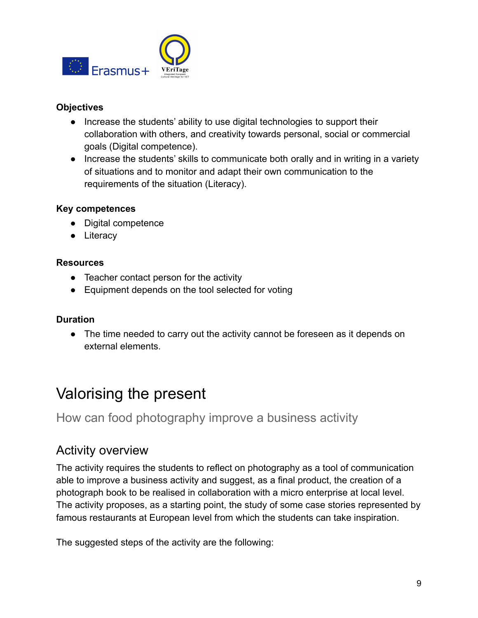

- Increase the students' ability to use digital technologies to support their collaboration with others, and creativity towards personal, social or commercial goals (Digital competence).
- Increase the students' skills to communicate both orally and in writing in a variety of situations and to monitor and adapt their own communication to the requirements of the situation (Literacy).

#### **Key competences**

- Digital competence
- Literacy

#### **Resources**

- Teacher contact person for the activity
- Equipment depends on the tool selected for voting

#### **Duration**

• The time needed to carry out the activity cannot be foreseen as it depends on external elements.

## <span id="page-8-0"></span>Valorising the present

How can food photography improve a business activity

### <span id="page-8-1"></span>Activity overview

The activity requires the students to reflect on photography as a tool of communication able to improve a business activity and suggest, as a final product, the creation of a photograph book to be realised in collaboration with a micro enterprise at local level. The activity proposes, as a starting point, the study of some case stories represented by famous restaurants at European level from which the students can take inspiration.

The suggested steps of the activity are the following: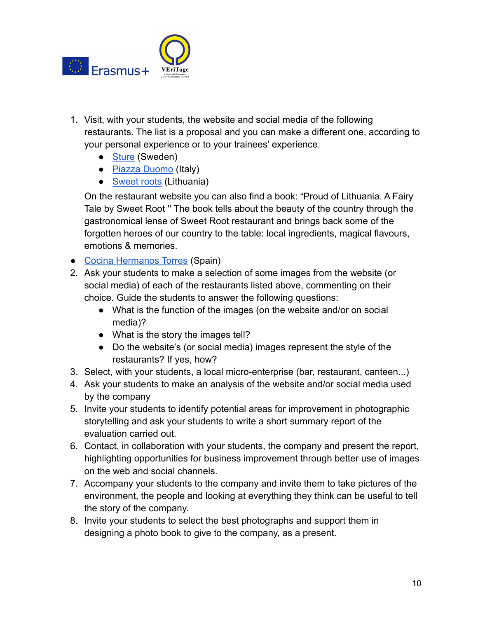

- 1. Visit, with your students, the website and social media of the following restaurants. The list is a proposal and you can make a different one, according to your personal experience or to your trainees' experience.
	- [Sture](http://restaurantsture.com/start-3/) (Sweden)
	- [Piazza Duomo](https://www.piazzaduomoalba.it/en/) (Italy)
	- [Sweet roots](http://www.sweetroot.lt/menu) (Lithuania)

On the restaurant website you can also find a book: "Proud of Lithuania. A Fairy Tale by Sweet Root '' The book tells about the beauty of the country through the gastronomical lense of Sweet Root restaurant and brings back some of the forgotten heroes of our country to the table: local ingredients, magical flavours, emotions & memories.

- [Cocina Hermanos Torres](https://cocinahermanostorres.com/en/discover/) (Spain)
- 2. Ask your students to make a selection of some images from the website (or social media) of each of the restaurants listed above, commenting on their choice. Guide the students to answer the following questions:
	- What is the function of the images (on the website and/or on social media)?
	- What is the story the images tell?
	- Do the website's (or social media) images represent the style of the restaurants? If yes, how?
- 3. Select, with your students, a local micro-enterprise (bar, restaurant, canteen...)
- 4. Ask your students to make an analysis of the website and/or social media used by the company
- 5. Invite your students to identify potential areas for improvement in photographic storytelling and ask your students to write a short summary report of the evaluation carried out.
- 6. Contact, in collaboration with your students, the company and present the report, highlighting opportunities for business improvement through better use of images on the web and social channels.
- 7. Accompany your students to the company and invite them to take pictures of the environment, the people and looking at everything they think can be useful to tell the story of the company.
- 8. Invite your students to select the best photographs and support them in designing a photo book to give to the company, as a present.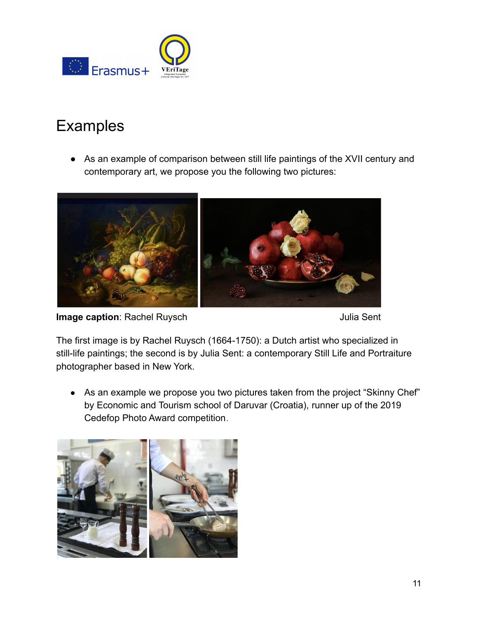

## Examples

● As an example of comparison between still life paintings of the XVII century and contemporary art, we propose you the following two pictures:



**Image caption**: Rachel Ruysch **Value 2018** 10:45 Julia Sent

The first image is by Rachel Ruysch (1664-1750): a Dutch artist who specialized in still-life paintings; the second is by Julia Sent: a contemporary Still Life and Portraiture photographer based in New York.

• As an example we propose you two pictures taken from the project "Skinny Chef" by Economic and Tourism school of Daruvar (Croatia), runner up of the 2019 Cedefop Photo Award competition.